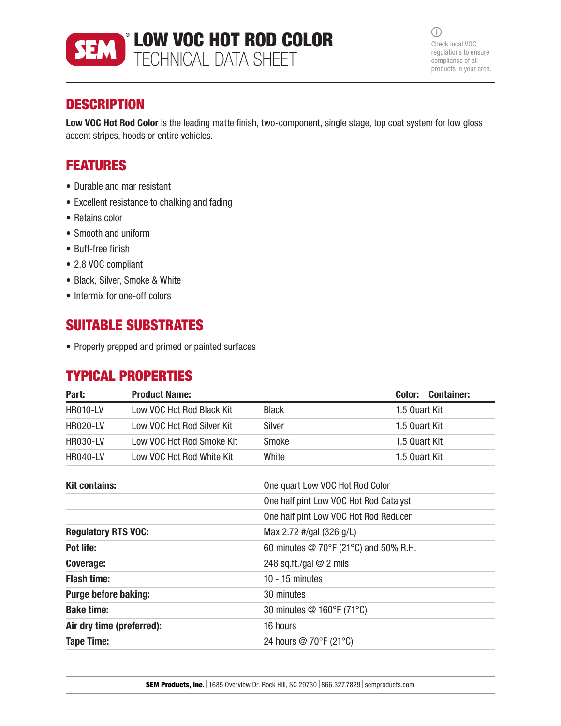

 $\odot$ Check local VOC regulations to ensure compliance of all products in your area.

## **DESCRIPTION**

Low VOC Hot Rod Color is the leading matte finish, two-component, single stage, top coat system for low gloss accent stripes, hoods or entire vehicles.

## FEATURES

- Durable and mar resistant
- Excellent resistance to chalking and fading
- Retains color
- Smooth and uniform
- Buff-free finish
- 2.8 VOC compliant
- Black, Silver, Smoke & White
- Intermix for one-off colors

## SUITABLE SUBSTRATES

• Properly prepped and primed or painted surfaces

#### TYPICAL PROPERTIES

| Part:           | <b>Product Name:</b>       |              | <b>Container:</b><br>Color: |
|-----------------|----------------------------|--------------|-----------------------------|
| <b>HR010-LV</b> | Low VOC Hot Rod Black Kit  | <b>Black</b> | 1.5 Quart Kit               |
| <b>HR020-LV</b> | Low VOC Hot Rod Silver Kit | Silver       | 1.5 Quart Kit               |
| <b>HR030-LV</b> | Low VOC Hot Rod Smoke Kit  | Smoke        | 1.5 Quart Kit               |
| <b>HR040-LV</b> | Low VOC Hot Rod White Kit  | White        | 1.5 Quart Kit               |

| <b>Kit contains:</b>        | One quart Low VOC Hot Rod Color                       |  |
|-----------------------------|-------------------------------------------------------|--|
|                             | One half pint Low VOC Hot Rod Catalyst                |  |
|                             | One half pint Low VOC Hot Rod Reducer                 |  |
| <b>Regulatory RTS VOC:</b>  | Max 2.72 #/gal (326 g/L)                              |  |
| Pot life:                   | 60 minutes $\textcircled{2}$ 70°F (21°C) and 50% R.H. |  |
| Coverage:                   | 248 sq.ft./gal $@$ 2 mils                             |  |
| <b>Flash time:</b>          | $10 - 15$ minutes                                     |  |
| <b>Purge before baking:</b> | 30 minutes                                            |  |
| <b>Bake time:</b>           | 30 minutes @ 160°F (71°C)                             |  |
| Air dry time (preferred):   | 16 hours                                              |  |
| <b>Tape Time:</b>           | 24 hours @ 70°F (21°C)                                |  |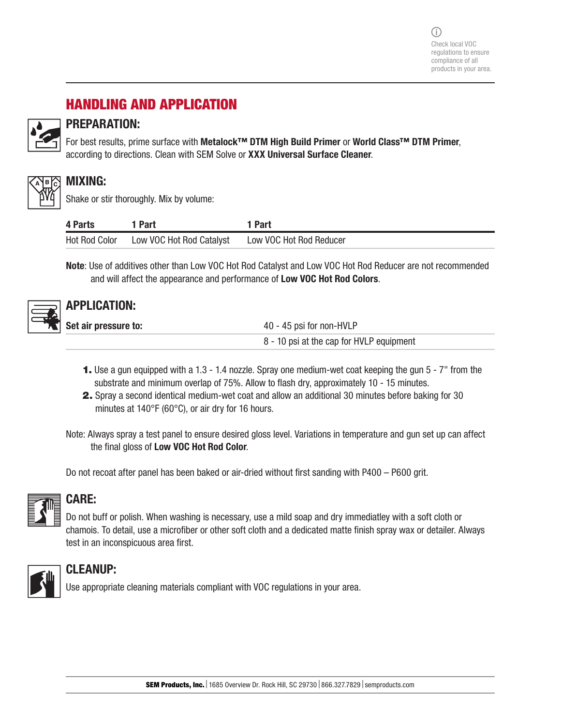# HANDLING AND APPLICATION



### PREPARATION:

For best results, prime surface with Metalock™ DTM High Build Primer or World Class™ DTM Primer, according to directions. Clean with SEM Solve or XXX Universal Surface Cleaner.



#### MIXING:

Shake or stir thoroughly. Mix by volume:

| 4 Parts              | <b>Part</b>              | 1 Part                  |
|----------------------|--------------------------|-------------------------|
| <b>Hot Rod Color</b> | Low VOC Hot Rod Catalyst | Low VOC Hot Rod Reducer |

Note: Use of additives other than Low VOC Hot Rod Catalyst and Low VOC Hot Rod Reducer are not recommended and will affect the appearance and performance of Low VOC Hot Rod Colors.



# APPLICATION:

Set air pressure to:  $40 - 45$  psi for non-HVLP

8 - 10 psi at the cap for HVLP equipment

- 1. Use a gun equipped with a 1.3 1.4 nozzle. Spray one medium-wet coat keeping the gun 5 7" from the substrate and minimum overlap of 75%. Allow to flash dry, approximately 10 - 15 minutes.
- 2. Spray a second identical medium-wet coat and allow an additional 30 minutes before baking for 30 minutes at 140°F (60°C), or air dry for 16 hours.

Note: Always spray a test panel to ensure desired gloss level. Variations in temperature and gun set up can affect the final gloss of Low VOC Hot Rod Color.

Do not recoat after panel has been baked or air-dried without first sanding with P400 – P600 grit.



#### CARE:

Do not buff or polish. When washing is necessary, use a mild soap and dry immediatley with a soft cloth or chamois. To detail, use a microfiber or other soft cloth and a dedicated matte finish spray wax or detailer. Always test in an inconspicuous area first.



#### CLEANUP:

Use appropriate cleaning materials compliant with VOC regulations in your area.